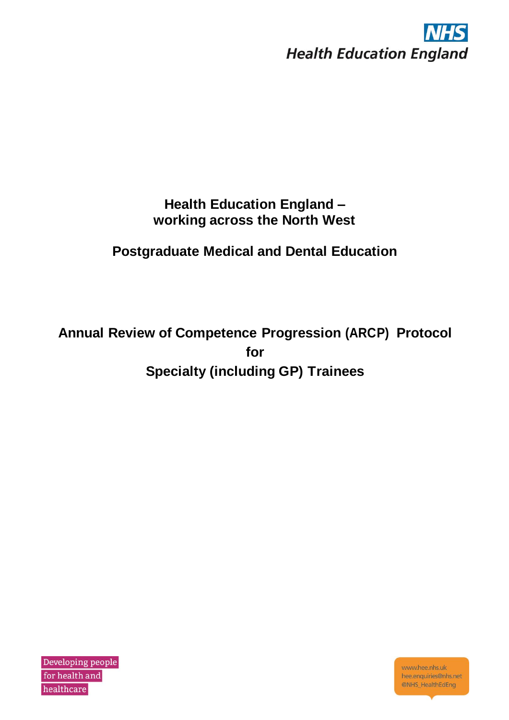

# **Health Education England – working across the North West**

# **Postgraduate Medical and Dental Education**

**Annual Review of Competence Progression (ARCP) Protocol for Specialty (including GP) Trainees**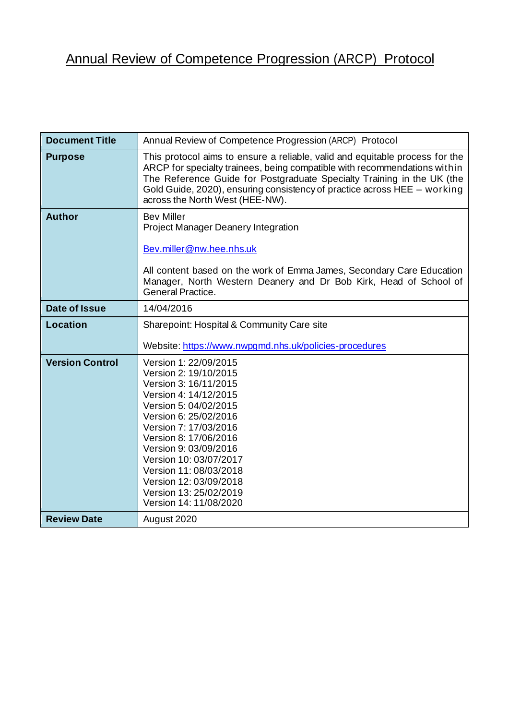# Annual Review of Competence Progression (ARCP) Protocol

| <b>Document Title</b>  | Annual Review of Competence Progression (ARCP) Protocol                                                                                                                                                                                                                                                                                                         |
|------------------------|-----------------------------------------------------------------------------------------------------------------------------------------------------------------------------------------------------------------------------------------------------------------------------------------------------------------------------------------------------------------|
| <b>Purpose</b>         | This protocol aims to ensure a reliable, valid and equitable process for the<br>ARCP for specialty trainees, being compatible with recommendations within<br>The Reference Guide for Postgraduate Specialty Training in the UK (the<br>Gold Guide, 2020), ensuring consistency of practice across HEE - working<br>across the North West (HEE-NW).              |
| <b>Author</b>          | <b>Bev Miller</b><br>Project Manager Deanery Integration<br>Bev.miller@nw.hee.nhs.uk<br>All content based on the work of Emma James, Secondary Care Education<br>Manager, North Western Deanery and Dr Bob Kirk, Head of School of<br>General Practice.                                                                                                         |
| <b>Date of Issue</b>   | 14/04/2016                                                                                                                                                                                                                                                                                                                                                      |
| Location               | Sharepoint: Hospital & Community Care site<br>Website: https://www.nwpgmd.nhs.uk/policies-procedures                                                                                                                                                                                                                                                            |
| <b>Version Control</b> | Version 1: 22/09/2015<br>Version 2: 19/10/2015<br>Version 3: 16/11/2015<br>Version 4: 14/12/2015<br>Version 5: 04/02/2015<br>Version 6: 25/02/2016<br>Version 7: 17/03/2016<br>Version 8: 17/06/2016<br>Version 9: 03/09/2016<br>Version 10: 03/07/2017<br>Version 11: 08/03/2018<br>Version 12: 03/09/2018<br>Version 13: 25/02/2019<br>Version 14: 11/08/2020 |
| <b>Review Date</b>     | August 2020                                                                                                                                                                                                                                                                                                                                                     |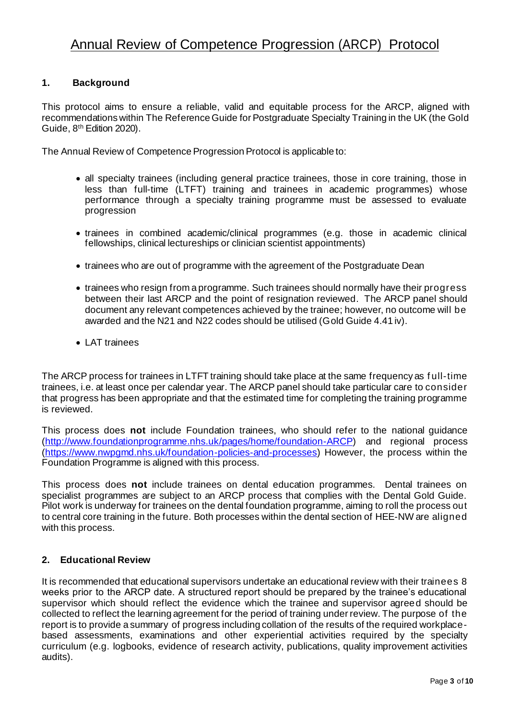# Annual Review of Competence Progression (ARCP) Protocol

#### **1. Background**

This protocol aims to ensure a reliable, valid and equitable process for the ARCP, aligned with recommendations within The Reference Guide for Postgraduate Specialty Training in the UK (the Gold Guide, 8<sup>th</sup> Edition 2020).

The Annual Review of Competence Progression Protocol is applicable to:

- all specialty trainees (including general practice trainees, those in core training, those in less than full-time (LTFT) training and trainees in academic programmes) whose performance through a specialty training programme must be assessed to evaluate progression
- trainees in combined academic/clinical programmes (e.g. those in academic clinical fellowships, clinical lectureships or clinician scientist appointments)
- trainees who are out of programme with the agreement of the Postgraduate Dean
- trainees who resign from a programme. Such trainees should normally have their progress between their last ARCP and the point of resignation reviewed. The ARCP panel should document any relevant competences achieved by the trainee; however, no outcome will be awarded and the N21 and N22 codes should be utilised (Gold Guide 4.41 iv).
- LAT trainees

The ARCP process for trainees in LTFT training should take place at the same frequency as f ull-time trainees, i.e. at least once per calendar year. The ARCP panel should take particular care to consider that progress has been appropriate and that the estimated time for completing the training programme is reviewed.

This process does **not** include Foundation trainees, who should refer to the national guidance [\(http://www.foundationprogramme.nhs.uk/pages/home/foundation-ARC](http://www.foundationprogramme.nhs.uk/pages/home/foundation-ARCP)P) and regional process [\(https://www.nwpgmd.nhs.uk/foundation-policies-and-processe](https://www.nwpgmd.nhs.uk/foundation-policies-and-processes)s) However, the process within the Foundation Programme is aligned with this process.

This process does **not** include trainees on dental education programmes. Dental trainees on specialist programmes are subject to an ARCP process that complies with the Dental Gold Guide. Pilot work is underway for trainees on the dental foundation programme, aiming to roll the process out to central core training in the future. Both processes within the dental section of HEE-NW are aligned with this process.

#### **2. Educational Review**

It is recommended that educational supervisors undertake an educational review with their trainees 8 weeks prior to the ARCP date. A structured report should be prepared by the trainee's educational supervisor which should reflect the evidence which the trainee and supervisor agreed should be collected to reflect the learning agreement for the period of training under review. The purpose of the report is to provide a summary of progress including collation of the results of the required workplacebased assessments, examinations and other experiential activities required by the specialty curriculum (e.g. logbooks, evidence of research activity, publications, quality improvement activities audits).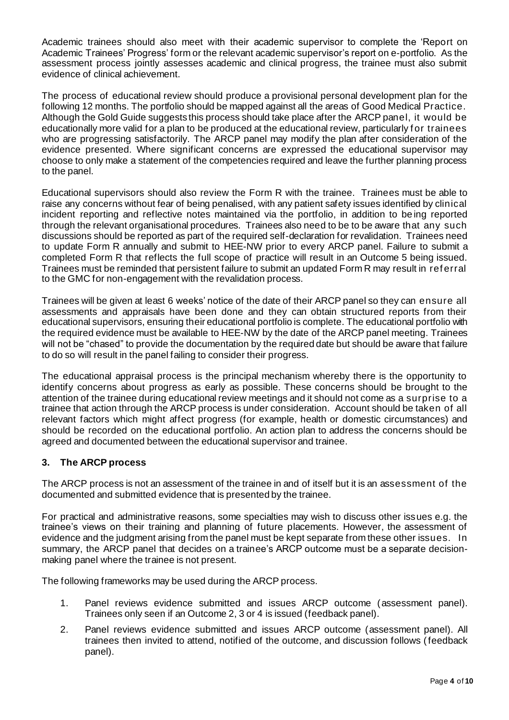Academic trainees should also meet with their academic supervisor to complete the 'Report on Academic Trainees' Progress' form or the relevant academic supervisor's report on e-portfolio. As the assessment process jointly assesses academic and clinical progress, the trainee must also submit evidence of clinical achievement.

The process of educational review should produce a provisional personal development plan for the following 12 months. The portfolio should be mapped against all the areas of Good Medical Practice. Although the Gold Guide suggests this process should take place after the ARCP panel, it would be educationally more valid for a plan to be produced at the educational review, particularly for trainees who are progressing satisfactorily. The ARCP panel may modify the plan after consideration of the evidence presented. Where significant concerns are expressed the educational supervisor may choose to only make a statement of the competencies required and leave the further planning process to the panel.

Educational supervisors should also review the Form R with the trainee. Trainees must be able to raise any concerns without fear of being penalised, with any patient safety issues identified by clinical incident reporting and reflective notes maintained via the portfolio, in addition to be ing reported through the relevant organisational procedures. Trainees also need to be to be aware that any such discussions should be reported as part of the required self-declaration for revalidation. Trainees need to update Form R annually and submit to HEE-NW prior to every ARCP panel. Failure to submit a completed Form R that reflects the full scope of practice will result in an Outcome 5 being issued. Trainees must be reminded that persistent failure to submit an updated Form R may result in ref erral to the GMC for non-engagement with the revalidation process.

Trainees will be given at least 6 weeks' notice of the date of their ARCP panel so they can ensure all assessments and appraisals have been done and they can obtain structured reports from their educational supervisors, ensuring their educational portfolio is complete. The educational portfolio with the required evidence must be available to HEE-NW by the date of the ARCP panel meeting. Trainees will not be "chased" to provide the documentation by the required date but should be aware that failure to do so will result in the panel failing to consider their progress.

The educational appraisal process is the principal mechanism whereby there is the opportunity to identify concerns about progress as early as possible. These concerns should be brought to the attention of the trainee during educational review meetings and it should not come as a surprise to a trainee that action through the ARCP process is under consideration. Account should be taken of all relevant factors which might affect progress (for example, health or domestic circumstances) and should be recorded on the educational portfolio. An action plan to address the concerns should be agreed and documented between the educational supervisor and trainee.

# **3. The ARCP process**

The ARCP process is not an assessment of the trainee in and of itself but it is an assessment of the documented and submitted evidence that is presented by the trainee.

For practical and administrative reasons, some specialties may wish to discuss other issues e.g. the trainee's views on their training and planning of future placements. However, the assessment of evidence and the judgment arising from the panel must be kept separate from these other issues. In summary, the ARCP panel that decides on a trainee's ARCP outcome must be a separate decisionmaking panel where the trainee is not present.

The following frameworks may be used during the ARCP process.

- 1. Panel reviews evidence submitted and issues ARCP outcome (assessment panel). Trainees only seen if an Outcome 2, 3 or 4 is issued (feedback panel).
- 2. Panel reviews evidence submitted and issues ARCP outcome (assessment panel). All trainees then invited to attend, notified of the outcome, and discussion follows (feedback panel).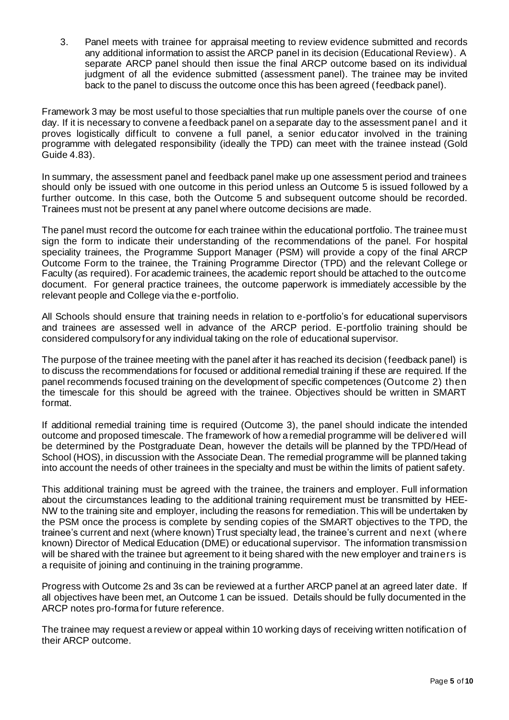3. Panel meets with trainee for appraisal meeting to review evidence submitted and records any additional information to assist the ARCP panel in its decision (Educational Review). A separate ARCP panel should then issue the final ARCP outcome based on its individual judgment of all the evidence submitted (assessment panel). The trainee may be invited back to the panel to discuss the outcome once this has been agreed (feedback panel).

Framework 3 may be most useful to those specialties that run multiple panels over the course of one day. If it is necessary to convene a feedback panel on a separate day to the assessment panel and it proves logistically difficult to convene a full panel, a senior educator involved in the training programme with delegated responsibility (ideally the TPD) can meet with the trainee instead (Gold Guide 4.83).

In summary, the assessment panel and feedback panel make up one assessment period and trainees should only be issued with one outcome in this period unless an Outcome 5 is issued followed by a further outcome. In this case, both the Outcome 5 and subsequent outcome should be recorded. Trainees must not be present at any panel where outcome decisions are made.

The panel must record the outcome for each trainee within the educational portfolio. The trainee must sign the form to indicate their understanding of the recommendations of the panel. For hospital speciality trainees, the Programme Support Manager (PSM) will provide a copy of the final ARCP Outcome Form to the trainee, the Training Programme Director (TPD) and the relevant College or Faculty (as required). For academic trainees, the academic report should be attached to the outcome document. For general practice trainees, the outcome paperwork is immediately accessible by the relevant people and College via the e-portfolio.

All Schools should ensure that training needs in relation to e-portfolio's for educational supervisors and trainees are assessed well in advance of the ARCP period. E-portfolio training should be considered compulsory for any individual taking on the role of educational supervisor.

The purpose of the trainee meeting with the panel after it has reached its decision (feedback panel) is to discuss the recommendations for focused or additional remedial training if these are required. If the panel recommends focused training on the development of specific competences (Outcome 2) then the timescale for this should be agreed with the trainee. Objectives should be written in SMART format.

If additional remedial training time is required (Outcome 3), the panel should indicate the intended outcome and proposed timescale. The framework of how a remedial programme will be delivered will be determined by the Postgraduate Dean, however the details will be planned by the TPD/Head of School (HOS), in discussion with the Associate Dean. The remedial programme will be planned taking into account the needs of other trainees in the specialty and must be within the limits of patient safety.

This additional training must be agreed with the trainee, the trainers and employer. Full information about the circumstances leading to the additional training requirement must be transmitted by HEE-NW to the training site and employer, including the reasons for remediation. This will be undertaken by the PSM once the process is complete by sending copies of the SMART objectives to the TPD, the trainee's current and next (where known) Trust specialty lead, the trainee's current and next (where known) Director of Medical Education (DME) or educational supervisor. The information transmission will be shared with the trainee but agreement to it being shared with the new employer and trainers is a requisite of joining and continuing in the training programme.

Progress with Outcome 2s and 3s can be reviewed at a further ARCP panel at an agreed later date. If all objectives have been met, an Outcome 1 can be issued. Details should be fully documented in the ARCP notes pro-forma for future reference.

The trainee may request a review or appeal within 10 working days of receiving written notification of their ARCP outcome.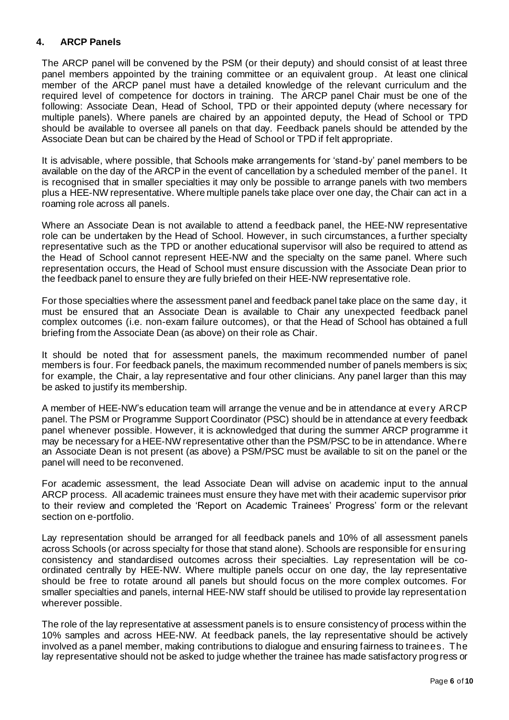# **4. ARCP Panels**

The ARCP panel will be convened by the PSM (or their deputy) and should consist of at least three panel members appointed by the training committee or an equivalent group. At least one clinical member of the ARCP panel must have a detailed knowledge of the relevant curriculum and the required level of competence for doctors in training. The ARCP panel Chair must be one of the following: Associate Dean, Head of School, TPD or their appointed deputy (where necessary for multiple panels). Where panels are chaired by an appointed deputy, the Head of School or TPD should be available to oversee all panels on that day. Feedback panels should be attended by the Associate Dean but can be chaired by the Head of School or TPD if felt appropriate.

It is advisable, where possible, that Schools make arrangements for 'stand-by' panel members to be available on the day of the ARCP in the event of cancellation by a scheduled member of the panel. It is recognised that in smaller specialties it may only be possible to arrange panels with two members plus a HEE-NW representative. Where multiple panels take place over one day, the Chair can act in a roaming role across all panels.

Where an Associate Dean is not available to attend a feedback panel, the HEE-NW representative role can be undertaken by the Head of School. However, in such circumstances, a further specialty representative such as the TPD or another educational supervisor will also be required to attend as the Head of School cannot represent HEE-NW and the specialty on the same panel. Where such representation occurs, the Head of School must ensure discussion with the Associate Dean prior to the feedback panel to ensure they are fully briefed on their HEE-NW representative role.

For those specialties where the assessment panel and feedback panel take place on the same day, it must be ensured that an Associate Dean is available to Chair any unexpected feedback panel complex outcomes (i.e. non-exam failure outcomes), or that the Head of School has obtained a full briefing from the Associate Dean (as above) on their role as Chair.

It should be noted that for assessment panels, the maximum recommended number of panel members is four. For feedback panels, the maximum recommended number of panels members is six; for example, the Chair, a lay representative and four other clinicians. Any panel larger than this may be asked to justify its membership.

A member of HEE-NW's education team will arrange the venue and be in attendance at every ARCP panel. The PSM or Programme Support Coordinator (PSC) should be in attendance at every feedback panel whenever possible. However, it is acknowledged that during the summer ARCP programme it may be necessary for a HEE-NW representative other than the PSM/PSC to be in attendance. Where an Associate Dean is not present (as above) a PSM/PSC must be available to sit on the panel or the panel will need to be reconvened.

For academic assessment, the lead Associate Dean will advise on academic input to the annual ARCP process. All academic trainees must ensure they have met with their academic supervisor prior to their review and completed the 'Report on Academic Trainees' Progress' form or the relevant section on e-portfolio.

Lay representation should be arranged for all feedback panels and 10% of all assessment panels across Schools (or across specialty for those that stand alone). Schools are responsible for ensuring consistency and standardised outcomes across their specialties. Lay representation will be coordinated centrally by HEE-NW. Where multiple panels occur on one day, the lay representative should be free to rotate around all panels but should focus on the more complex outcomes. For smaller specialties and panels, internal HEE-NW staff should be utilised to provide lay representation wherever possible.

The role of the lay representative at assessment panels is to ensure consistency of process within the 10% samples and across HEE-NW. At feedback panels, the lay representative should be actively involved as a panel member, making contributions to dialogue and ensuring fairness to trainees. The lay representative should not be asked to judge whether the trainee has made satisfactory progress or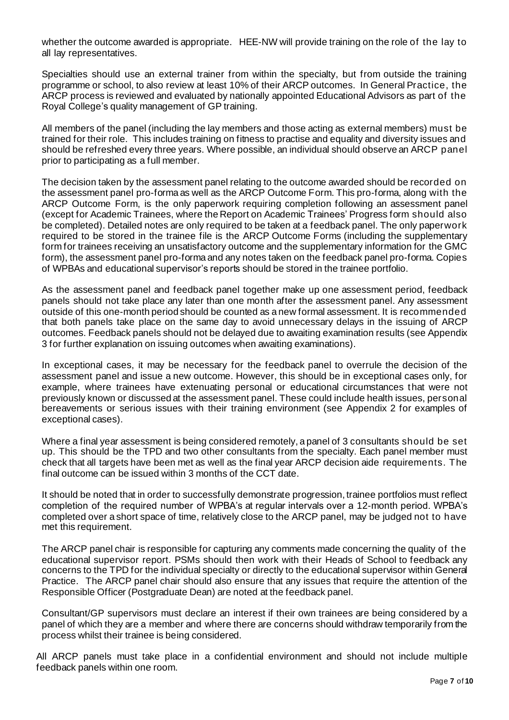whether the outcome awarded is appropriate. HEE-NW will provide training on the role of the lay to all lay representatives.

Specialties should use an external trainer from within the specialty, but from outside the training programme or school, to also review at least 10% of their ARCP outcomes. In General Practice, the ARCP process is reviewed and evaluated by nationally appointed Educational Advisors as part of the Royal College's quality management of GP training.

All members of the panel (including the lay members and those acting as external members) must be trained for their role. This includes training on fitness to practise and equality and diversity issues and should be refreshed every three years. Where possible, an individual should observe an ARCP panel prior to participating as a full member.

The decision taken by the assessment panel relating to the outcome awarded should be recorded on the assessment panel pro-forma as well as the ARCP Outcome Form. This pro-forma, along with the ARCP Outcome Form, is the only paperwork requiring completion following an assessment panel (except for Academic Trainees, where the Report on Academic Trainees' Progress form should also be completed). Detailed notes are only required to be taken at a feedback panel. The only paperwork required to be stored in the trainee file is the ARCP Outcome Forms (including the supplementary form for trainees receiving an unsatisfactory outcome and the supplementary information for the GMC form), the assessment panel pro-forma and any notes taken on the feedback panel pro-forma. Copies of WPBAs and educational supervisor's reports should be stored in the trainee portfolio.

As the assessment panel and feedback panel together make up one assessment period, feedback panels should not take place any later than one month after the assessment panel. Any assessment outside of this one-month period should be counted as a new formal assessment. It is recommended that both panels take place on the same day to avoid unnecessary delays in the issuing of ARCP outcomes. Feedback panels should not be delayed due to awaiting examination results (see Appendix 3 for further explanation on issuing outcomes when awaiting examinations).

In exceptional cases, it may be necessary for the feedback panel to overrule the decision of the assessment panel and issue a new outcome. However, this should be in exceptional cases only, for example, where trainees have extenuating personal or educational circumstances that were not previously known or discussed at the assessment panel. These could include health issues, personal bereavements or serious issues with their training environment (see Appendix 2 for examples of exceptional cases).

Where a final year assessment is being considered remotely, a panel of 3 consultants should be set up. This should be the TPD and two other consultants from the specialty. Each panel member must check that all targets have been met as well as the final year ARCP decision aide requirements. The final outcome can be issued within 3 months of the CCT date.

It should be noted that in order to successfully demonstrate progression, trainee portfolios must reflect completion of the required number of WPBA's at regular intervals over a 12-month period. WPBA's completed over a short space of time, relatively close to the ARCP panel, may be judged not to have met this requirement.

The ARCP panel chair is responsible for capturing any comments made concerning the quality of the educational supervisor report. PSMs should then work with their Heads of School to feedback any concerns to the TPD for the individual specialty or directly to the educational supervisor within General Practice. The ARCP panel chair should also ensure that any issues that require the attention of the Responsible Officer (Postgraduate Dean) are noted at the feedback panel.

Consultant/GP supervisors must declare an interest if their own trainees are being considered by a panel of which they are a member and where there are concerns should withdraw temporarily from the process whilst their trainee is being considered.

All ARCP panels must take place in a confidential environment and should not include multiple feedback panels within one room.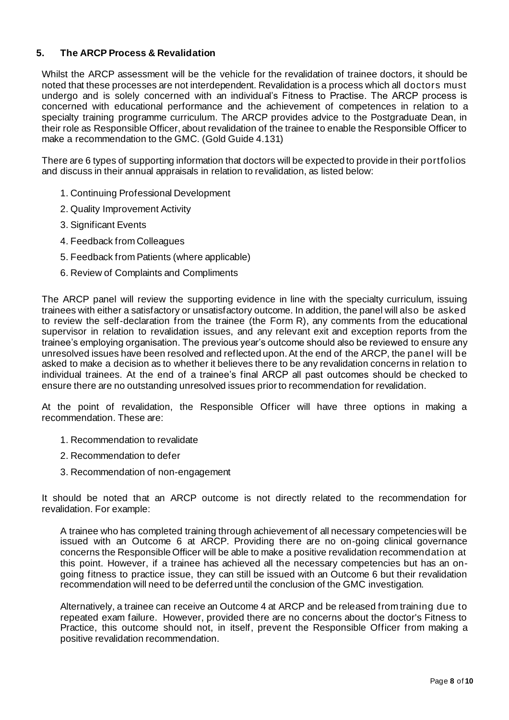### **5. The ARCP Process & Revalidation**

Whilst the ARCP assessment will be the vehicle for the revalidation of trainee doctors, it should be noted that these processes are not interdependent. Revalidation is a process which all doctors must undergo and is solely concerned with an individual's Fitness to Practise. The ARCP process is concerned with educational performance and the achievement of competences in relation to a specialty training programme curriculum. The ARCP provides advice to the Postgraduate Dean, in their role as Responsible Officer, about revalidation of the trainee to enable the Responsible Officer to make a recommendation to the GMC. (Gold Guide 4.131)

There are 6 types of supporting information that doctors will be expected to provide in their portfolios and discuss in their annual appraisals in relation to revalidation, as listed below:

- 1. Continuing Professional Development
- 2. Quality Improvement Activity
- 3. Significant Events
- 4. Feedback from Colleagues
- 5. Feedback from Patients (where applicable)
- 6. Review of Complaints and Compliments

The ARCP panel will review the supporting evidence in line with the specialty curriculum, issuing trainees with either a satisfactory or unsatisfactory outcome. In addition, the panel will also be asked to review the self-declaration from the trainee (the Form R), any comments from the educational supervisor in relation to revalidation issues, and any relevant exit and exception reports from the trainee's employing organisation. The previous year's outcome should also be reviewed to ensure any unresolved issues have been resolved and reflected upon. At the end of the ARCP, the panel will be asked to make a decision as to whether it believes there to be any revalidation concerns in relation to individual trainees. At the end of a trainee's final ARCP all past outcomes should be checked to ensure there are no outstanding unresolved issues prior to recommendation for revalidation.

At the point of revalidation, the Responsible Officer will have three options in making a recommendation. These are:

- 1. Recommendation to revalidate
- 2. Recommendation to defer
- 3. Recommendation of non-engagement

It should be noted that an ARCP outcome is not directly related to the recommendation for revalidation. For example:

A trainee who has completed training through achievement of all necessary competencies will be issued with an Outcome 6 at ARCP. Providing there are no on-going clinical governance concerns the Responsible Officer will be able to make a positive revalidation recommendation at this point. However, if a trainee has achieved all the necessary competencies but has an ongoing fitness to practice issue, they can still be issued with an Outcome 6 but their revalidation recommendation will need to be deferred until the conclusion of the GMC investigation.

Alternatively, a trainee can receive an Outcome 4 at ARCP and be released from training due to repeated exam failure. However, provided there are no concerns about the doctor's Fitness to Practice, this outcome should not, in itself, prevent the Responsible Officer from making a positive revalidation recommendation.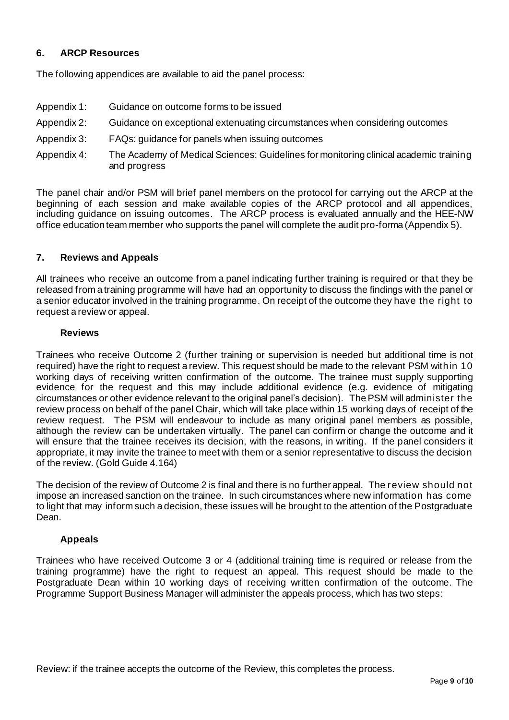# **6. ARCP Resources**

The following appendices are available to aid the panel process:

- Appendix 1: Guidance on outcome forms to be issued
- Appendix 2: Guidance on exceptional extenuating circumstances when considering outcomes
- Appendix 3: FAQs: guidance for panels when issuing outcomes
- Appendix 4: The Academy of Medical Sciences: Guidelines for monitoring clinical academic training and progress

The panel chair and/or PSM will brief panel members on the protocol for carrying out the ARCP at the beginning of each session and make available copies of the ARCP protocol and all appendices, including guidance on issuing outcomes. The ARCP process is evaluated annually and the HEE-NW office education team member who supports the panel will complete the audit pro-forma (Appendix 5).

### **7. Reviews and Appeals**

All trainees who receive an outcome from a panel indicating further training is required or that they be released from a training programme will have had an opportunity to discuss the findings with the panel or a senior educator involved in the training programme. On receipt of the outcome they have the right to request a review or appeal.

#### **Reviews**

Trainees who receive Outcome 2 (further training or supervision is needed but additional time is not required) have the right to request a review. This request should be made to the relevant PSM within 10 working days of receiving written confirmation of the outcome. The trainee must supply supporting evidence for the request and this may include additional evidence (e.g. evidence of mitigating circumstances or other evidence relevant to the original panel's decision). The PSM will administer the review process on behalf of the panel Chair, which will take place within 15 working days of receipt of the review request. The PSM will endeavour to include as many original panel members as possible, although the review can be undertaken virtually. The panel can confirm or change the outcome and it will ensure that the trainee receives its decision, with the reasons, in writing. If the panel considers it appropriate, it may invite the trainee to meet with them or a senior representative to discuss the decision of the review. (Gold Guide 4.164)

The decision of the review of Outcome 2 is final and there is no further appeal. The review should not impose an increased sanction on the trainee. In such circumstances where new information has come to light that may inform such a decision, these issues will be brought to the attention of the Postgraduate Dean.

# **Appeals**

Trainees who have received Outcome 3 or 4 (additional training time is required or release from the training programme) have the right to request an appeal. This request should be made to the Postgraduate Dean within 10 working days of receiving written confirmation of the outcome. The Programme Support Business Manager will administer the appeals process, which has two steps: